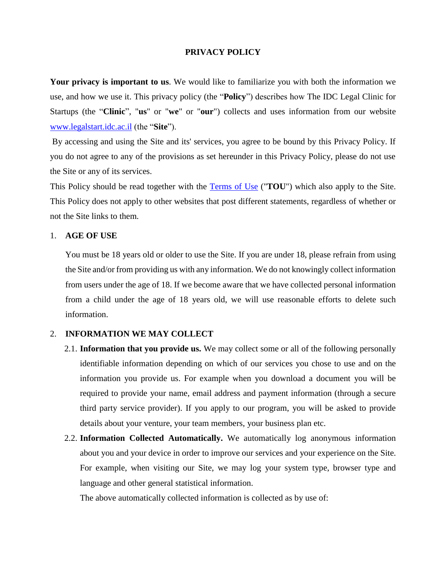### **PRIVACY POLICY**

**Your privacy is important to us**. We would like to familiarize you with both the information we use, and how we use it. This privacy policy (the "**Policy**") describes how The IDC Legal Clinic for Startups (the "**Clinic**", "**us**" or "**we**" or "**our**") collects and uses information from our website [www.legalstart.idc.ac.il](http://www.legalstart.idc.ac.il/) (the "**Site**").

By accessing and using the Site and its' services, you agree to be bound by this Privacy Policy. If you do not agree to any of the provisions as set hereunder in this Privacy Policy, please do not use the Site or any of its services.

This Policy should be read together with the [Terms of Use](http://legalstart.idc.ac.il/term-of-use/) ("**TOU**") which also apply to the Site. This Policy does not apply to other websites that post different statements, regardless of whether or not the Site links to them.

### 1. **AGE OF USE**

You must be 18 years old or older to use the Site. If you are under 18, please refrain from using the Site and/or from providing us with any information. We do not knowingly collect information from users under the age of 18. If we become aware that we have collected personal information from a child under the age of 18 years old, we will use reasonable efforts to delete such information.

### 2. **INFORMATION WE MAY COLLECT**

- 2.1. **Information that you provide us.** We may collect some or all of the following personally identifiable information depending on which of our services you chose to use and on the information you provide us. For example when you download a document you will be required to provide your name, email address and payment information (through a secure third party service provider). If you apply to our program, you will be asked to provide details about your venture, your team members, your business plan etc.
- 2.2. **Information Collected Automatically.** We automatically log anonymous information about you and your device in order to improve our services and your experience on the Site. For example, when visiting our Site, we may log your system type, browser type and language and other general statistical information.

The above automatically collected information is collected as by use of: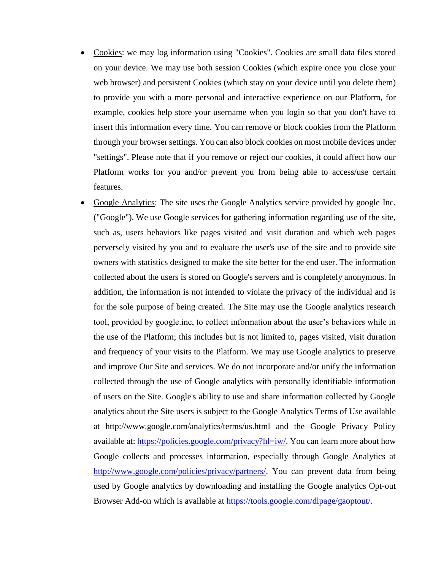- Cookies: we may log information using "Cookies". Cookies are small data files stored on your device. We may use both session Cookies (which expire once you close your web browser) and persistent Cookies (which stay on your device until you delete them) to provide you with a more personal and interactive experience on our Platform, for example, cookies help store your username when you login so that you don't have to insert this information every time. You can remove or block cookies from the Platform through your browser settings. You can also block cookies on most mobile devices under "settings". Please note that if you remove or reject our cookies, it could affect how our Platform works for you and/or prevent you from being able to access/use certain features.
- Google Analytics: The site uses the Google Analytics service provided by google Inc. ("Google"). We use Google services for gathering information regarding use of the site, such as, users behaviors like pages visited and visit duration and which web pages perversely visited by you and to evaluate the user's use of the site and to provide site owners with statistics designed to make the site better for the end user. The information collected about the users is stored on Google's servers and is completely anonymous. In addition, the information is not intended to violate the privacy of the individual and is for the sole purpose of being created. The Site may use the Google analytics research tool, provided by google.inc, to collect information about the user's behaviors while in the use of the Platform; this includes but is not limited to, pages visited, visit duration and frequency of your visits to the Platform. We may use Google analytics to preserve and improve Our Site and services. We do not incorporate and/or unify the information collected through the use of Google analytics with personally identifiable information of users on the Site. Google's ability to use and share information collected by Google analytics about the Site users is subject to the Google Analytics Terms of Use available at http://www.google.com/analytics/terms/us.html and the Google Privacy Policy available at: [https://policies.google.com/privacy?hl=iw/.](https://policies.google.com/privacy?hl=iw/) You can learn more about how Google collects and processes information, especially through Google Analytics at [http://www.google.com/policies/privacy/partners/.](http://www.google.com/policies/privacy/partners/) You can prevent data from being used by Google analytics by downloading and installing the Google analytics Opt-out Browser Add-on which is available at [https://tools.google.com/dlpage/gaoptout/.](https://tools.google.com/dlpage/gaoptout/)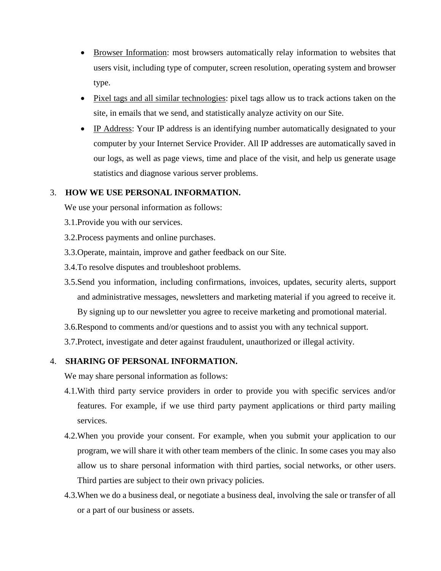- Browser Information: most browsers automatically relay information to websites that users visit, including type of computer, screen resolution, operating system and browser type.
- Pixel tags and all similar technologies: pixel tags allow us to track actions taken on the site, in emails that we send, and statistically analyze activity on our Site.
- IP Address: Your IP address is an identifying number automatically designated to your computer by your Internet Service Provider. All IP addresses are automatically saved in our logs, as well as page views, time and place of the visit, and help us generate usage statistics and diagnose various server problems.

# 3. **HOW WE USE PERSONAL INFORMATION.**

We use your personal information as follows:

- 3.1.Provide you with our services.
- 3.2.Process payments and online purchases.
- 3.3.Operate, maintain, improve and gather feedback on our Site.
- 3.4.To resolve disputes and troubleshoot problems.
- 3.5.Send you information, including confirmations, invoices, updates, security alerts, support and administrative messages, newsletters and marketing material if you agreed to receive it. By signing up to our newsletter you agree to receive marketing and promotional material.
- 3.6.Respond to comments and/or questions and to assist you with any technical support.
- 3.7.Protect, investigate and deter against fraudulent, unauthorized or illegal activity.

# 4. **SHARING OF PERSONAL INFORMATION.**

We may share personal information as follows:

- 4.1.With third party service providers in order to provide you with specific services and/or features. For example, if we use third party payment applications or third party mailing services.
- 4.2.When you provide your consent. For example, when you submit your application to our program, we will share it with other team members of the clinic. In some cases you may also allow us to share personal information with third parties, social networks, or other users. Third parties are subject to their own privacy policies.
- 4.3.When we do a business deal, or negotiate a business deal, involving the sale or transfer of all or a part of our business or assets.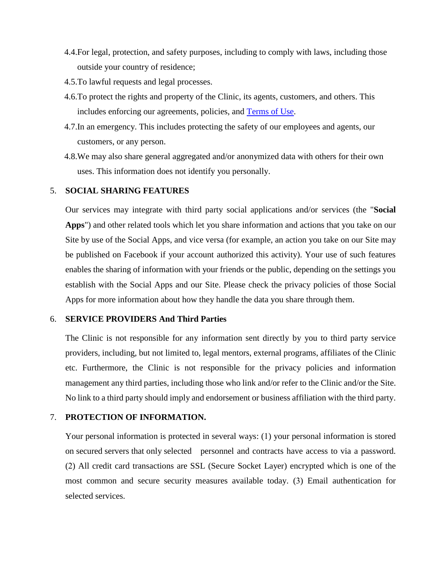- 4.4.For legal, protection, and safety purposes, including to comply with laws, including those outside your country of residence;
- 4.5.To lawful requests and legal processes.
- 4.6.To protect the rights and property of the Clinic, its agents, customers, and others. This includes enforcing our agreements, policies, and [Terms of](http://legalstart.idc.ac.il/term-of-use/) Use.
- 4.7.In an emergency. This includes protecting the safety of our employees and agents, our customers, or any person.
- 4.8.We may also share general aggregated and/or anonymized data with others for their own uses. This information does not identify you personally.

## 5. **SOCIAL SHARING FEATURES**

Our services may integrate with third party social applications and/or services (the "**Social Apps**") and other related tools which let you share information and actions that you take on our Site by use of the Social Apps, and vice versa (for example, an action you take on our Site may be published on Facebook if your account authorized this activity). Your use of such features enables the sharing of information with your friends or the public, depending on the settings you establish with the Social Apps and our Site. Please check the privacy policies of those Social Apps for more information about how they handle the data you share through them.

#### 6. **SERVICE PROVIDERS And Third Parties**

The Clinic is not responsible for any information sent directly by you to third party service providers, including, but not limited to, legal mentors, external programs, affiliates of the Clinic etc. Furthermore, the Clinic is not responsible for the privacy policies and information management any third parties, including those who link and/or refer to the Clinic and/or the Site. No link to a third party should imply and endorsement or business affiliation with the third party.

## 7. **PROTECTION OF INFORMATION.**

Your personal information is protected in several ways: (1) your personal information is stored on secured servers that only selected personnel and contracts have access to via a password. (2) All credit card transactions are SSL (Secure Socket Layer) encrypted which is one of the most common and secure security measures available today. (3) Email authentication for selected services.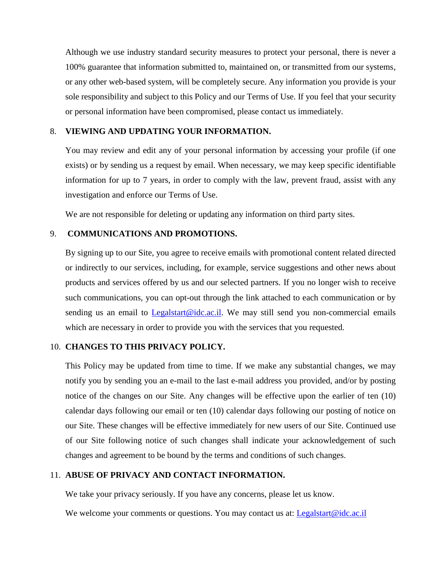Although we use industry standard security measures to protect your personal, there is never a 100% guarantee that information submitted to, maintained on, or transmitted from our systems, or any other web-based system, will be completely secure. Any information you provide is your sole responsibility and subject to this Policy and our Terms of Use. If you feel that your security or personal information have been compromised, please contact us immediately.

### 8. **VIEWING AND UPDATING YOUR INFORMATION.**

You may review and edit any of your personal information by accessing your profile (if one exists) or by sending us a request by email. When necessary, we may keep specific identifiable information for up to 7 years, in order to comply with the law, prevent fraud, assist with any investigation and enforce our Terms of Use.

We are not responsible for deleting or updating any information on third party sites.

### 9. **COMMUNICATIONS AND PROMOTIONS.**

By signing up to our Site, you agree to receive emails with promotional content related directed or indirectly to our services, including, for example, service suggestions and other news about products and services offered by us and our selected partners. If you no longer wish to receive such communications, you can opt-out through the link attached to each communication or by sending us an email to  $Logalstart@idc.ac.i$ . We may still send you non-commercial emails</u> which are necessary in order to provide you with the services that you requested.

### 10. **CHANGES TO THIS PRIVACY POLICY.**

This Policy may be updated from time to time. If we make any substantial changes, we may notify you by sending you an e-mail to the last e-mail address you provided, and/or by posting notice of the changes on our Site. Any changes will be effective upon the earlier of ten (10) calendar days following our email or ten (10) calendar days following our posting of notice on our Site. These changes will be effective immediately for new users of our Site. Continued use of our Site following notice of such changes shall indicate your acknowledgement of such changes and agreement to be bound by the terms and conditions of such changes.

#### 11. **ABUSE OF PRIVACY AND CONTACT INFORMATION.**

We take your privacy seriously. If you have any concerns, please let us know.

We welcome your comments or questions. You may contact us at: [Legalstart@idc.ac.il](mailto:Legalstart@idc.ac.il)